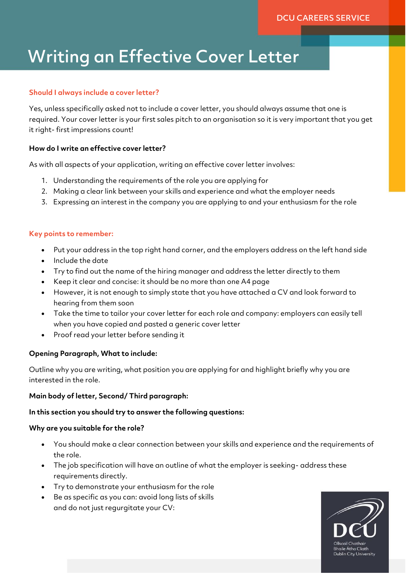# Writing an Effective Cover Letter

## **Should I always include a cover letter?**

Yes, unless specifically asked not to include a cover letter, you should always assume that one is required. Your cover letter is your first sales pitch to an organisation so it is very important that you get it right- first impressions count!

## **How do I write an effective cover letter?**

As with all aspects of your application, writing an effective cover letter involves:

- 1. Understanding the requirements of the role you are applying for
- 2. Making a clear link between your skills and experience and what the employer needs
- 3. Expressing an interest in the company you are applying to and your enthusiasm for the role

#### **Key points to remember:**

- Put your address in the top right hand corner, and the employers address on the left hand side
- Include the date
- Try to find out the name of the hiring manager and address the letter directly to them
- Keep it clear and concise: it should be no more than one A4 page
- However, it is not enough to simply state that you have attached a CV and look forward to hearing from them soon
- Take the time to tailor your cover letter for each role and company: employers can easily tell when you have copied and pasted a generic cover letter
- Proof read your letter before sending it

# **Opening Paragraph, What to include:**

Outline why you are writing, what position you are applying for and highlight briefly why you are interested in the role.

#### **Main body of letter, Second/ Third paragraph:**

#### **In this section you should try to answer the following questions:**

#### **Why are you suitable for the role?**

- You should make a clear connection between your skills and experience and the requirements of the role.
- The job specification will have an outline of what the employer is seeking- address these requirements directly.
- Try to demonstrate your enthusiasm for the role
- Be as specific as you can: avoid long lists of skills and do not just regurgitate your CV: